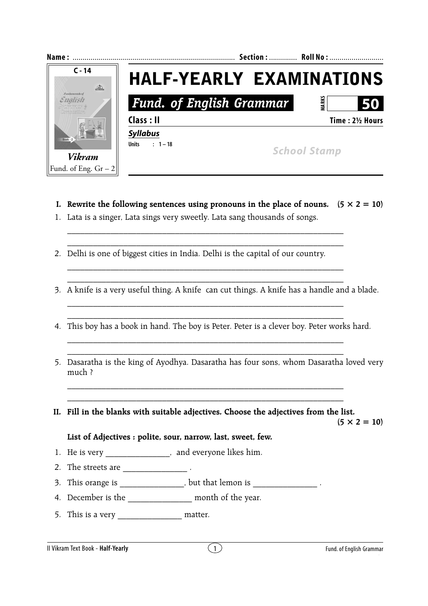

**I.** Rewrite the following sentences using pronouns in the place of nouns.  $(5 \times 2 = 10)$ 

\_\_\_\_\_\_\_\_\_\_\_\_\_\_\_\_\_\_\_\_\_\_\_\_\_\_\_\_\_\_\_\_\_\_\_\_\_\_\_\_\_\_\_\_\_\_\_\_\_\_\_\_\_\_\_\_\_\_\_\_\_\_\_\_

\_\_\_\_\_\_\_\_\_\_\_\_\_\_\_\_\_\_\_\_\_\_\_\_\_\_\_\_\_\_\_\_\_\_\_\_\_\_\_\_\_\_\_\_\_\_\_\_\_\_\_\_\_\_\_\_\_\_\_\_\_\_\_\_ \_\_\_\_\_\_\_\_\_\_\_\_\_\_\_\_\_\_\_\_\_\_\_\_\_\_\_\_\_\_\_\_\_\_\_\_\_\_\_\_\_\_\_\_\_\_\_\_\_\_\_\_\_\_\_\_\_\_\_\_\_\_\_\_

\_\_\_\_\_\_\_\_\_\_\_\_\_\_\_\_\_\_\_\_\_\_\_\_\_\_\_\_\_\_\_\_\_\_\_\_\_\_\_\_\_\_\_\_\_\_\_\_\_\_\_\_\_\_\_\_\_\_\_\_\_\_\_\_

\_\_\_\_\_\_\_\_\_\_\_\_\_\_\_\_\_\_\_\_\_\_\_\_\_\_\_\_\_\_\_\_\_\_\_\_\_\_\_\_\_\_\_\_\_\_\_\_\_\_\_\_\_\_\_\_\_\_\_\_\_\_\_\_ \_\_\_\_\_\_\_\_\_\_\_\_\_\_\_\_\_\_\_\_\_\_\_\_\_\_\_\_\_\_\_\_\_\_\_\_\_\_\_\_\_\_\_\_\_\_\_\_\_\_\_\_\_\_\_\_\_\_\_\_\_\_\_\_

- 1. Lata is a singer, Lata sings very sweetly. Lata sang thousands of songs.
- 2. Delhi is one of biggest cities in India. Delhi is the capital of our country.
- 3. A knife is a very useful thing. A knife can cut things. A knife has a handle and a blade.
- 4. This boy has a book in hand. The boy is Peter. Peter is a clever boy. Peter works hard.
- 5. Dasaratha is the king of Ayodhya. Dasaratha has four sons, whom Dasaratha loved very much ?
- **II. Fill in the blanks with suitable adjectives. Choose the adjectives from the list.**

\_\_\_\_\_\_\_\_\_\_\_\_\_\_\_\_\_\_\_\_\_\_\_\_\_\_\_\_\_\_\_\_\_\_\_\_\_\_\_\_\_\_\_\_\_\_\_\_\_\_\_\_\_\_\_\_\_\_\_\_\_\_\_\_ \_\_\_\_\_\_\_\_\_\_\_\_\_\_\_\_\_\_\_\_\_\_\_\_\_\_\_\_\_\_\_\_\_\_\_\_\_\_\_\_\_\_\_\_\_\_\_\_\_\_\_\_\_\_\_\_\_\_\_\_\_\_\_\_

 $(5 \times 2 = 10)$ 

## **List of Adjectives : polite, sour, narrow, last, sweet, few.**

- 1. He is very \_\_\_\_\_\_\_\_\_\_\_\_\_\_\_, and everyone likes him.
- 2. The streets are  $\overline{\phantom{a}}$ .
- 3. This orange is \_\_\_\_\_\_\_\_\_\_\_\_\_\_\_, but that lemon is \_\_\_\_\_\_\_\_\_\_\_\_\_\_\_\_\_\_\_\_\_\_\_\_\_\_\_
- 4. December is the \_\_\_\_\_\_\_\_\_\_\_\_\_\_\_ month of the year.
- 5. This is a very matter.

II Vikram Text Book - **Half-Yearly** 1 Fund. of English Grammar